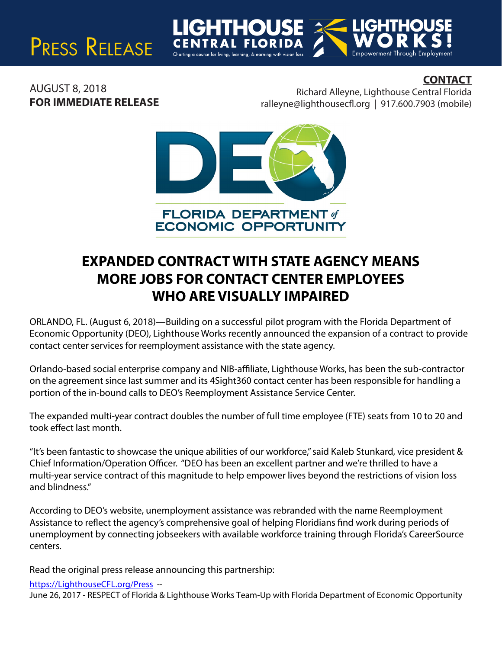# PRESS RELEASE

### **CONTACT**

AUGUST 8, 2018 **FOR IMMEDIATE RELEASE**

Richard Alleyne, Lighthouse Central Florida  $ralleyne@lighthousecfl.org | 917.600.7903 (mobile)$ 

Empowerment Through Em



## **EXPANDED CONTRACT WITH STATE AGENCY MEANS MORE JOBS FOR CONTACT CENTER EMPLOYEES WHO ARE VISUALLY IMPAIRED**

ORLANDO, FL. (August 6, 2018)—Building on a successful pilot program with the Florida Department of Economic Opportunity (DEO), Lighthouse Works recently announced the expansion of a contract to provide contact center services for reemployment assistance with the state agency.

Orlando-based social enterprise company and NIB-affiliate, Lighthouse Works, has been the sub-contractor on the agreement since last summer and its 4Sight360 contact center has been responsible for handling a portion of the in-bound calls to DEO's Reemployment Assistance Service Center.

The expanded multi-year contract doubles the number of full time employee (FTE) seats from 10 to 20 and took effect last month.

"It's been fantastic to showcase the unique abilities of our workforce," said Kaleb Stunkard, vice president & Chief Information/Operation Officer. "DEO has been an excellent partner and we're thrilled to have a multi-year service contract of this magnitude to help empower lives beyond the restrictions of vision loss and blindness."

According to DEO's website, unemployment assistance was rebranded with the name Reemployment Assistance to reflect the agency's comprehensive goal of helping Floridians find work during periods of unemployment by connecting jobseekers with available workforce training through Florida's CareerSource centers.

Read the original press release announcing this partnership:

https://LighthouseCFL.org/Press --

June 26, 2017 - RESPECT of Florida & Lighthouse Works Team-Up with Florida Department of Economic Opportunity